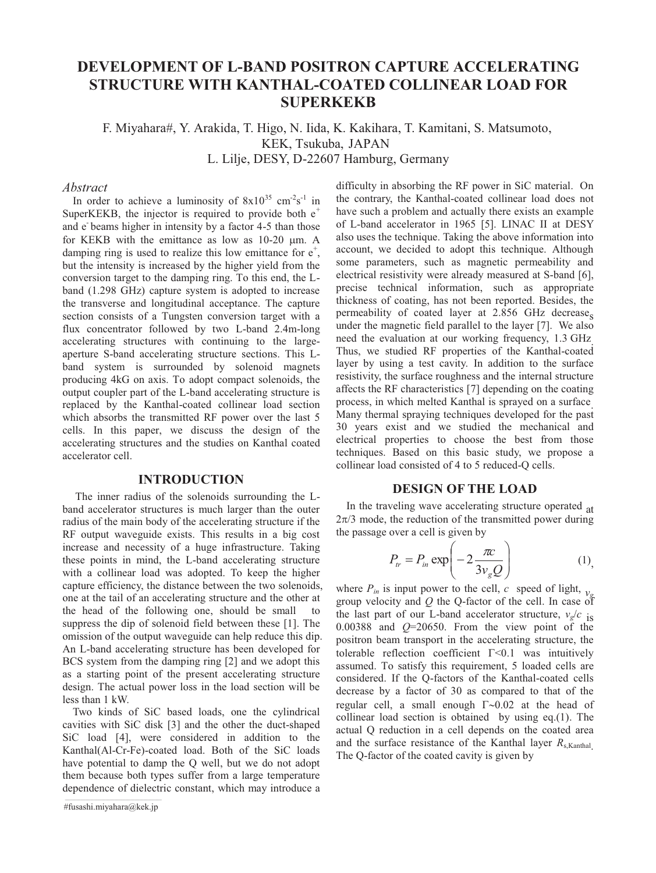# **DEVELOPMENT OF L-BAND POSITRON CAPTURE ACCELERATING STRUCTURE WITH KANTHAL-COATED COLLINEAR LOAD FOR SUPERKEKB**

F. Miyahara#, Y. Arakida, T. Higo, N. Iida, K. Kakihara, T. Kamitani, S. Matsumoto, KEK, Tsukuba, JAPAN L. Lilje, DESY, D-22607 Hamburg, Germany

# *Abstract*

In order to achieve a luminosity of  $8x10^{35}$  cm<sup>-2</sup>s<sup>-1</sup> in SuperKEKB, the injector is required to provide both  $e^+$ and e-beams higher in intensity by a factor 4-5 than those for KEKB with the emittance as low as  $10-20 \mu m$ . A damping ring is used to realize this low emittance for  $e^+$ , but the intensity is increased by the higher yield from the conversion target to the damping ring. To this end, the Lband (1.298 GHz) capture system is adopted to increase the transverse and longitudinal acceptance. The capture section consists of a Tungsten conversion target with a flux concentrator followed by two L-band 2.4m-long accelerating structures with continuing to the largeaperture S-band accelerating structure sections. This Lband system is surrounded by solenoid magnets producing 4kG on axis. To adopt compact solenoids, the output coupler part of the L-band accelerating structure is replaced by the Kanthal-coated collinear load section which absorbs the transmitted RF power over the last 5 cells. In this paper, we discuss the design of the accelerating structures and the studies on Kanthal coated accelerator cell.

# **INTRODUCTION**

 The inner radius of the solenoids surrounding the Lband accelerator structures is much larger than the outer radius of the main body of the accelerating structure if the RF output waveguide exists. This results in a big cost increase and necessity of a huge infrastructure. Taking these points in mind, the L-band accelerating structure with a collinear load was adopted. To keep the higher capture efficiency, the distance between the two solenoids, one at the tail of an accelerating structure and the other at the head of the following one, should be small to suppress the dip of solenoid field between these [1]. The omission of the output waveguide can help reduce this dip. An L-band accelerating structure has been developed for BCS system from the damping ring [2] and we adopt this as a starting point of the present accelerating structure design. The actual power loss in the load section will be less than 1 kW.

Two kinds of SiC based loads, one the cylindrical cavities with SiC disk [3] and the other the duct-shaped SiC load [4], were considered in addition to the Kanthal(Al-Cr-Fe)-coated load. Both of the SiC loads have potential to damp the Q well, but we do not adopt them because both types suffer from a large temperature dependence of dielectric constant, which may introduce a

#fusashi.miyahara@kek.jp

difficulty in absorbing the RF power in SiC material. On the contrary, the Kanthal-coated collinear load does not have such a problem and actually there exists an example of L-band accelerator in 1965 [5]. LINAC II at DESY also uses the technique. Taking the above information into account, we decided to adopt this technique. Although some parameters, such as magnetic permeability and electrical resistivity were already measured at S-band [6], precise technical information, such as appropriate thickness of coating, has not been reported. Besides, the permeability of coated layer at  $2.856$  GHz decrease. under the magnetic field parallel to the layer [7]. We also need the evaluation at our working frequency, 1.3 GHz. Thus, we studied RF properties of the Kanthal-coated layer by using a test cavity. In addition to the surface resistivity, the surface roughness and the internal structure affects the RF characteristics [7] depending on the coating process, in which melted Kanthal is sprayed on a surface. Many thermal spraying techniques developed for the past 30 years exist and we studied the mechanical and electrical properties to choose the best from those techniques. Based on this basic study, we propose a collinear load consisted of 4 to 5 reduced-Q cells.

#### **DESIGN OF THE LOAD**

In the traveling wave accelerating structure operated at  $2\pi/3$  mode, the reduction of the transmitted power during the passage over a cell is given by

$$
P_{tr} = P_{in} \exp\left(-2\frac{\pi c}{3v_{g}Q}\right) \tag{1}
$$

where  $P_{in}$  is input power to the cell,  $c$  speed of light,  $\mathbf{v}_{i}$ group velocity and *Q* the Q-factor of the cell. In case of the last part of our L-band accelerator structure,  $v_g/c$  is 0.00388 and *Q*=20650. From the view point of the positron beam transport in the accelerating structure, the tolerable reflection coefficient  $\Gamma$ <0.1 was intuitively assumed. To satisfy this requirement, 5 loaded cells are considered. If the Q-factors of the Kanthal-coated cells decrease by a factor of 30 as compared to that of the regular cell, a small enough  $\Gamma \sim 0.02$  at the head of collinear load section is obtained by using eq.(1). The actual Q reduction in a cell depends on the coated area and the surface resistance of the Kanthal layer *R*<sub>s,Kanthal</sub>. The Q-factor of the coated cavity is given by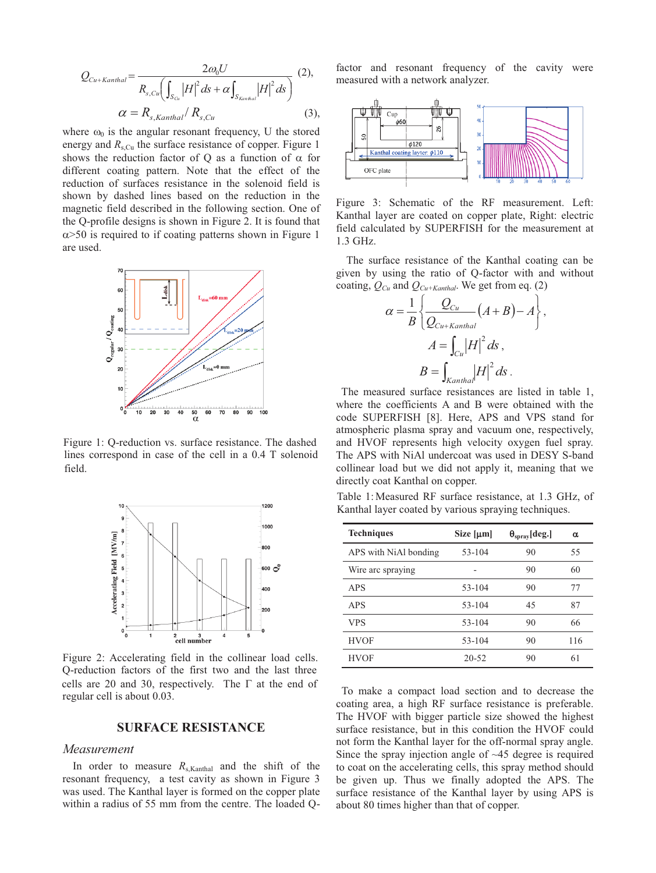$$
Q_{Cu+Kanthal} = \frac{2\omega_0 U}{R_{s,Cu}\left(\int_{S_{Cu}}\left|H\right|^2 ds + \alpha \int_{S_{Kanthal}}\left|H\right|^2 ds\right)} \tag{2},
$$
  

$$
\alpha = R_{s,Kanthal} / R_{s,Cu} \tag{3},
$$

where  $\omega_0$  is the angular resonant frequency, U the stored energy and  $R_{s,Cu}$  the surface resistance of copper. Figure 1 shows the reduction factor of Q as a function of  $\alpha$  for different coating pattern. Note that the effect of the reduction of surfaces resistance in the solenoid field is shown by dashed lines based on the reduction in the magnetic field described in the following section. One of the Q-profile designs is shown in Figure 2. It is found that  $\alpha$  > 50 is required to if coating patterns shown in Figure 1 are used.



Figure 1: Q-reduction vs. surface resistance. The dashed lines correspond in case of the cell in a 0.4 T solenoid field.



Figure 2: Accelerating field in the collinear load cells. Q-reduction factors of the first two and the last three cells are 20 and 30, respectively. The  $\Gamma$  at the end of regular cell is about 0.03.

# **SURFACE RESISTANCE**

#### *Measurement*

In order to measure  $R_{s,Kanthal}$  and the shift of the resonant frequency, a test cavity as shown in Figure 3 was used. The Kanthal layer is formed on the copper plate within a radius of 55 mm from the centre. The loaded Q-

factor and resonant frequency of the cavity were measured with a network analyzer.



Figure 3: Schematic of the RF measurement. Left: Kanthal layer are coated on copper plate, Right: electric field calculated by SUPERFISH for the measurement at 1.3 GHz.

The surface resistance of the Kanthal coating can be given by using the ratio of Q-factor with and without coating,  $Q_{Cu}$  and  $Q_{Cu+Kanthal}$ . We get from eq. (2)

$$
\alpha = \frac{1}{B} \left\{ \frac{Q_{Cu}}{Q_{Cu+Kanthal}} (A+B) - A \right\},\,
$$

$$
A = \int_{Cu} |H|^2 ds,
$$

$$
B = \int_{Kanthal} |H|^2 ds.
$$

 The measured surface resistances are listed in table 1, where the coefficients A and B were obtained with the code SUPERFISH [8]. Here, APS and VPS stand for atmospheric plasma spray and vacuum one, respectively, and HVOF represents high velocity oxygen fuel spray. The APS with NiAl undercoat was used in DESY S-band collinear load but we did not apply it, meaning that we directly coat Kanthal on copper.

Table 1: Measured RF surface resistance, at 1.3 GHz, of Kanthal layer coated by various spraying techniques.

| <b>Techniques</b>     | Size $[\mu m]$ | $\Theta_{\text{sprav}}$ [deg.] | α   |
|-----------------------|----------------|--------------------------------|-----|
| APS with NiAl bonding | 53-104         | 90                             | 55  |
| Wire arc spraying     |                | 90                             | 60  |
| APS                   | $53 - 104$     | 90                             | 77  |
| APS                   | $53 - 104$     | 45                             | 87  |
| <b>VPS</b>            | $53 - 104$     | 90                             | 66  |
| <b>HVOF</b>           | $53 - 104$     | 90                             | 116 |
| <b>HVOF</b>           | $20 - 52$      | 90                             | 61  |

To make a compact load section and to decrease the coating area, a high RF surface resistance is preferable. The HVOF with bigger particle size showed the highest surface resistance, but in this condition the HVOF could not form the Kanthal layer for the off-normal spray angle. Since the spray injection angle of ~45 degree is required to coat on the accelerating cells, this spray method should be given up. Thus we finally adopted the APS. The surface resistance of the Kanthal layer by using APS is about 80 times higher than that of copper.